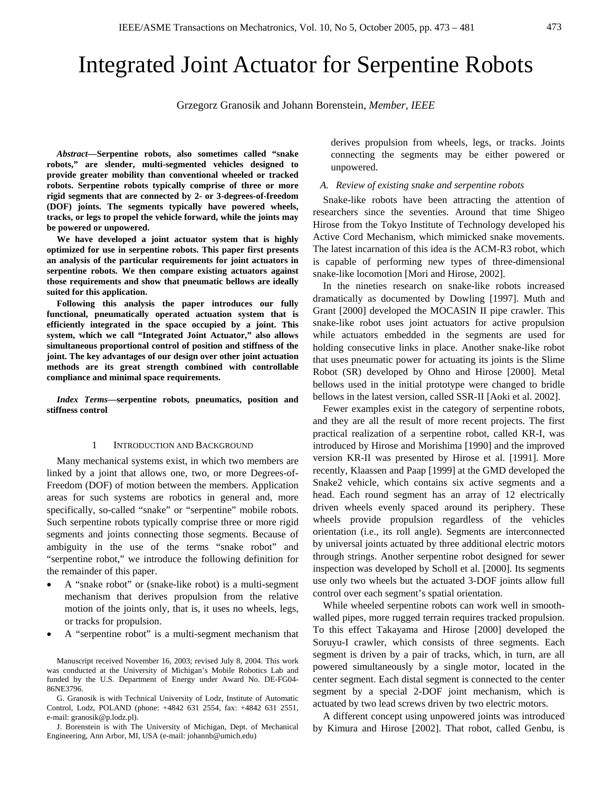# Integrated Joint Actuator for Serpentine Robots

Grzegorz Granosik and Johann Borenstein, *Member, IEEE*

*Abstract***—Serpentine robots, also sometimes called "snake robots," are slender, multi-segmented vehicles designed to provide greater mobility than conventional wheeled or tracked robots. Serpentine robots typically comprise of three or more rigid segments that are connected by 2- or 3-degrees-of-freedom (DOF) joints. The segments typically have powered wheels, tracks, or legs to propel the vehicle forward, while the joints may be powered or unpowered.** 

**We have developed a joint actuator system that is highly optimized for use in serpentine robots. This paper first presents an analysis of the particular requirements for joint actuators in serpentine robots. We then compare existing actuators against those requirements and show that pneumatic bellows are ideally suited for this application.** 

**Following this analysis the paper introduces our fully functional, pneumatically operated actuation system that is efficiently integrated in the space occupied by a joint. This system, which we call "Integrated Joint Actuator," also allows simultaneous proportional control of position and stiffness of the joint. The key advantages of our design over other joint actuation methods are its great strength combined with controllable compliance and minimal space requirements.** 

*Index Terms***—serpentine robots, pneumatics, position and stiffness control** 

# 1 INTRODUCTION AND BACKGROUND

Many mechanical systems exist, in which two members are linked by a joint that allows one, two, or more Degrees-of-Freedom (DOF) of motion between the members. Application areas for such systems are robotics in general and, more specifically, so-called "snake" or "serpentine" mobile robots. Such serpentine robots typically comprise three or more rigid segments and joints connecting those segments. Because of ambiguity in the use of the terms "snake robot" and "serpentine robot," we introduce the following definition for the remainder of this paper.

- A "snake robot" or (snake-like robot) is a multi-segment mechanism that derives propulsion from the relative motion of the joints only, that is, it uses no wheels, legs, or tracks for propulsion.
- A "serpentine robot" is a multi-segment mechanism that

Manuscript received November 16, 2003; revised July 8, 2004. This work was conducted at the University of Michigan's Mobile Robotics Lab and funded by the U.S. Department of Energy under Award No. DE-FG04- 86NE3796.

G. Granosik is with Technical University of Lodz, Institute of Automatic Control, Lodz, POLAND (phone: +4842 631 2554, fax: +4842 631 2551, e-mail: granosik@p.lodz.pl).

J. Borenstein is with The University of Michigan, Dept. of Mechanical Engineering, Ann Arbor, MI, USA (e-mail: johannb@umich.edu)

derives propulsion from wheels, legs, or tracks. Joints connecting the segments may be either powered or unpowered.

# *A. Review of existing snake and serpentine robots*

Snake-like robots have been attracting the attention of researchers since the seventies. Around that time Shigeo Hirose from the Tokyo Institute of Technology developed his Active Cord Mechanism, which mimicked snake movements. The latest incarnation of this idea is the ACM-R3 robot, which is capable of performing new types of three-dimensional snake-like locomotion [Mori and Hirose, 2002].

In the nineties research on snake-like robots increased dramatically as documented by Dowling [1997]. Muth and Grant [2000] developed the MOCASIN II pipe crawler. This snake-like robot uses joint actuators for active propulsion while actuators embedded in the segments are used for holding consecutive links in place. Another snake-like robot that uses pneumatic power for actuating its joints is the Slime Robot (SR) developed by Ohno and Hirose [2000]. Metal bellows used in the initial prototype were changed to bridle bellows in the latest version, called SSR-II [Aoki et al. 2002].

Fewer examples exist in the category of serpentine robots, and they are all the result of more recent projects. The first practical realization of a serpentine robot, called KR-I, was introduced by Hirose and Morishima [1990] and the improved version KR-II was presented by Hirose et al. [1991]. More recently, Klaassen and Paap [1999] at the GMD developed the Snake2 vehicle, which contains six active segments and a head. Each round segment has an array of 12 electrically driven wheels evenly spaced around its periphery. These wheels provide propulsion regardless of the vehicles orientation (i.e., its roll angle). Segments are interconnected by universal joints actuated by three additional electric motors through strings. Another serpentine robot designed for sewer inspection was developed by Scholl et al. [2000]. Its segments use only two wheels but the actuated 3-DOF joints allow full control over each segment's spatial orientation.

While wheeled serpentine robots can work well in smoothwalled pipes, more rugged terrain requires tracked propulsion. To this effect Takayama and Hirose [2000] developed the Soruyu-I crawler, which consists of three segments. Each segment is driven by a pair of tracks, which, in turn, are all powered simultaneously by a single motor, located in the center segment. Each distal segment is connected to the center segment by a special 2-DOF joint mechanism, which is actuated by two lead screws driven by two electric motors.

A different concept using unpowered joints was introduced by Kimura and Hirose [2002]. That robot, called Genbu, is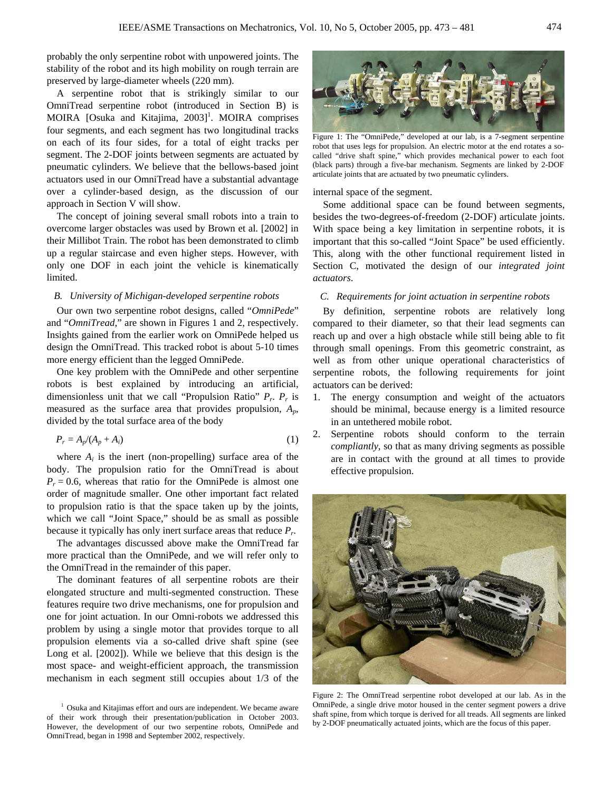probably the only serpentine robot with unpowered joints. The stability of the robot and its high mobility on rough terrain are preserved by large-diameter wheels (220 mm).

A serpentine robot that is strikingly similar to our OmniTread serpentine robot (introduced in Section B) is MOIRA [Osuka and Kitajima, 2003]<sup>1</sup>. MOIRA comprises four segments, and each segment has two longitudinal tracks on each of its four sides, for a total of eight tracks per segment. The 2-DOF joints between segments are actuated by pneumatic cylinders. We believe that the bellows-based joint actuators used in our OmniTread have a substantial advantage over a cylinder-based design, as the discussion of our approach in Section V will show.

The concept of joining several small robots into a train to overcome larger obstacles was used by Brown et al. [2002] in their Millibot Train. The robot has been demonstrated to climb up a regular staircase and even higher steps. However, with only one DOF in each joint the vehicle is kinematically limited.

# *B. University of Michigan-developed serpentine robots*

Our own two serpentine robot designs, called "*OmniPede*" and "*OmniTread*," are shown in Figures 1 and 2, respectively. Insights gained from the earlier work on OmniPede helped us design the OmniTread. This tracked robot is about 5-10 times more energy efficient than the legged OmniPede.

One key problem with the OmniPede and other serpentine robots is best explained by introducing an artificial, dimensionless unit that we call "Propulsion Ratio" *Pr*. *Pr* is measured as the surface area that provides propulsion, *Ap*, divided by the total surface area of the body

$$
P_r = A_p/(A_p + A_i) \tag{1}
$$

where  $A_i$  is the inert (non-propelling) surface area of the body. The propulsion ratio for the OmniTread is about  $P_r = 0.6$ , whereas that ratio for the OmniPede is almost one order of magnitude smaller. One other important fact related to propulsion ratio is that the space taken up by the joints, which we call "Joint Space," should be as small as possible because it typically has only inert surface areas that reduce *Pr*.

The advantages discussed above make the OmniTread far more practical than the OmniPede, and we will refer only to the OmniTread in the remainder of this paper.

The dominant features of all serpentine robots are their elongated structure and multi-segmented construction. These features require two drive mechanisms, one for propulsion and one for joint actuation. In our Omni-robots we addressed this problem by using a single motor that provides torque to all propulsion elements via a so-called drive shaft spine (see Long et al. [2002]). While we believe that this design is the most space- and weight-efficient approach, the transmission mechanism in each segment still occupies about 1/3 of the



Figure 1: The "OmniPede," developed at our lab, is a 7-segment serpentine robot that uses legs for propulsion. An electric motor at the end rotates a socalled "drive shaft spine," which provides mechanical power to each foot (black parts) through a five-bar mechanism. Segments are linked by 2-DOF articulate joints that are actuated by two pneumatic cylinders.

# internal space of the segment.

Some additional space can be found between segments, besides the two-degrees-of-freedom (2-DOF) articulate joints. With space being a key limitation in serpentine robots, it is important that this so-called "Joint Space" be used efficiently. This, along with the other functional requirement listed in Section C, motivated the design of our *integrated joint actuators*.

# *C. Requirements for joint actuation in serpentine robots*

By definition, serpentine robots are relatively long compared to their diameter, so that their lead segments can reach up and over a high obstacle while still being able to fit through small openings. From this geometric constraint, as well as from other unique operational characteristics of serpentine robots, the following requirements for joint actuators can be derived:

- 1. The energy consumption and weight of the actuators should be minimal, because energy is a limited resource in an untethered mobile robot.
- 2. Serpentine robots should conform to the terrain *compliantly*, so that as many driving segments as possible are in contact with the ground at all times to provide effective propulsion.



Figure 2: The OmniTread serpentine robot developed at our lab. As in the OmniPede, a single drive motor housed in the center segment powers a drive shaft spine, from which torque is derived for all treads. All segments are linked by 2-DOF pneumatically actuated joints, which are the focus of this paper.

<sup>&</sup>lt;sup>1</sup> Osuka and Kitajimas effort and ours are independent. We became aware of their work through their presentation/publication in October 2003. However, the development of our two serpentine robots, OmniPede and OmniTread, began in 1998 and September 2002, respectively.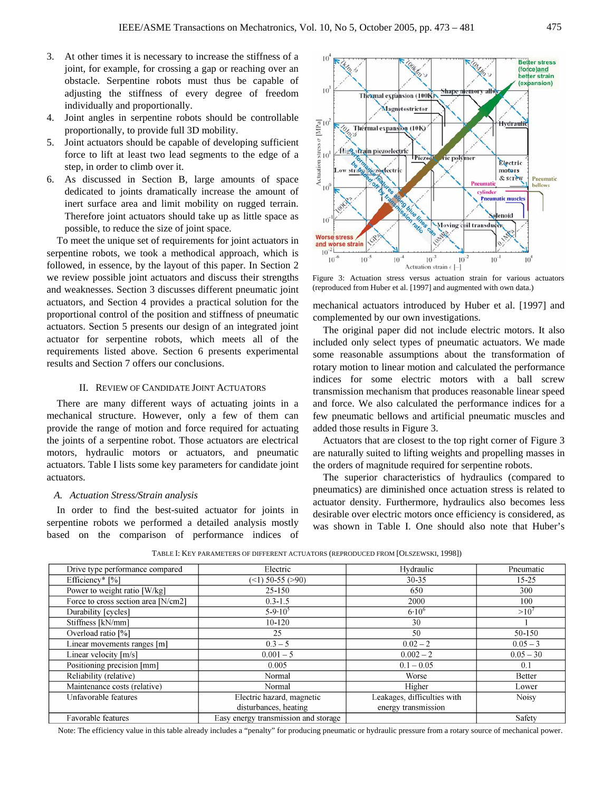- 3. At other times it is necessary to increase the stiffness of a joint, for example, for crossing a gap or reaching over an obstacle. Serpentine robots must thus be capable of adjusting the stiffness of every degree of freedom individually and proportionally.
- 4. Joint angles in serpentine robots should be controllable proportionally, to provide full 3D mobility.
- 5. Joint actuators should be capable of developing sufficient force to lift at least two lead segments to the edge of a step, in order to climb over it.
- 6. As discussed in Section B, large amounts of space dedicated to joints dramatically increase the amount of inert surface area and limit mobility on rugged terrain. Therefore joint actuators should take up as little space as possible, to reduce the size of joint space.

To meet the unique set of requirements for joint actuators in serpentine robots, we took a methodical approach, which is followed, in essence, by the layout of this paper. In Section 2 we review possible joint actuators and discuss their strengths and weaknesses. Section 3 discusses different pneumatic joint actuators, and Section 4 provides a practical solution for the proportional control of the position and stiffness of pneumatic actuators. Section 5 presents our design of an integrated joint actuator for serpentine robots, which meets all of the requirements listed above. Section 6 presents experimental results and Section 7 offers our conclusions.

# II. REVIEW OF CANDIDATE JOINT ACTUATORS

There are many different ways of actuating joints in a mechanical structure. However, only a few of them can provide the range of motion and force required for actuating the joints of a serpentine robot. Those actuators are electrical motors, hydraulic motors or actuators, and pneumatic actuators. Table I lists some key parameters for candidate joint actuators.

# *A. Actuation Stress/Strain analysis*

In order to find the best-suited actuator for joints in serpentine robots we performed a detailed analysis mostly based on the comparison of performance indices of



Figure 3: Actuation stress versus actuation strain for various actuators (reproduced from Huber et al. [1997] and augmented with own data.)

mechanical actuators introduced by Huber et al. [1997] and complemented by our own investigations.

The original paper did not include electric motors. It also included only select types of pneumatic actuators. We made some reasonable assumptions about the transformation of rotary motion to linear motion and calculated the performance indices for some electric motors with a ball screw transmission mechanism that produces reasonable linear speed and force. We also calculated the performance indices for a few pneumatic bellows and artificial pneumatic muscles and added those results in Figure 3.

Actuators that are closest to the top right corner of Figure 3 are naturally suited to lifting weights and propelling masses in the orders of magnitude required for serpentine robots.

The superior characteristics of hydraulics (compared to pneumatics) are diminished once actuation stress is related to actuator density. Furthermore, hydraulics also becomes less desirable over electric motors once efficiency is considered, as was shown in Table I. One should also note that Huber's

| Drive type performance compared     | Electric                             | Hydraulic                   | Pneumatic     |
|-------------------------------------|--------------------------------------|-----------------------------|---------------|
| Efficiency* [%]                     | $($ ( $\leq$ 1) 50-55 ( $>$ 90)      | $30 - 35$                   | $15-25$       |
| Power to weight ratio [W/kg]        | 25-150                               | 650                         | 300           |
| Force to cross section area [N/cm2] | $0.3 - 1.5$                          | 2000                        | 100           |
| Durability [cycles]                 | $5 - 9 \cdot 10^5$                   | $6.10^{6}$                  | >10'          |
| Stiffness [kN/mm]                   | $10 - 120$                           | 30                          |               |
| Overload ratio [%]                  | 25                                   | 50                          | 50-150        |
| Linear movements ranges [m]         | $0.3 - 5$                            | $0.02 - 2$                  | $0.05 - 3$    |
| Linear velocity $[m/s]$             | $0.001 - 5$                          | $0.002 - 2$                 | $0.05 - 30$   |
| Positioning precision [mm]          | 0.005                                | $0.1 - 0.05$                | 0.1           |
| Reliability (relative)              | Normal                               | Worse                       | <b>Better</b> |
| Maintenance costs (relative)        | Normal                               | Higher                      | Lower         |
| Unfavorable features                | Electric hazard, magnetic            | Leakages, difficulties with | <b>Noisy</b>  |
|                                     | disturbances, heating                | energy transmission         |               |
| Favorable features                  | Easy energy transmission and storage |                             | Safety        |

TABLE I: KEY PARAMETERS OF DIFFERENT ACTUATORS (REPRODUCED FROM [OLSZEWSKI, 1998])

Note: The efficiency value in this table already includes a "penalty" for producing pneumatic or hydraulic pressure from a rotary source of mechanical power.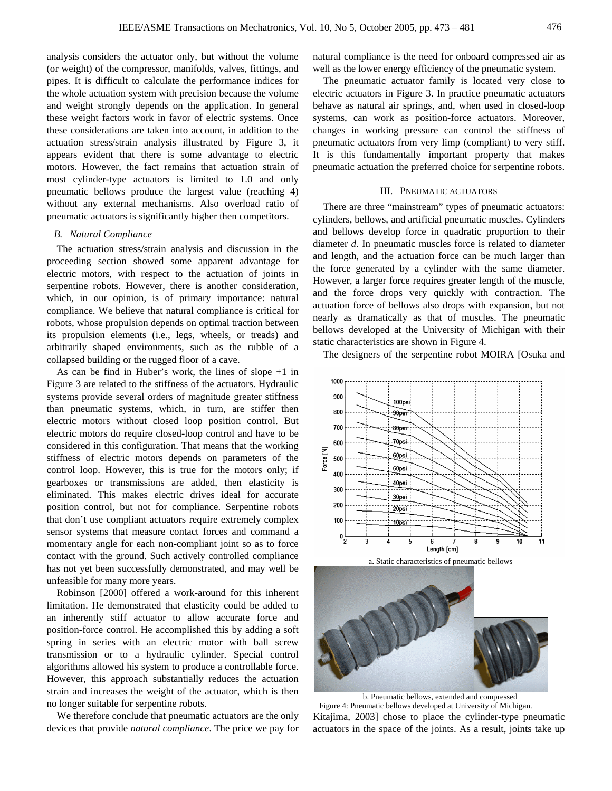analysis considers the actuator only, but without the volume (or weight) of the compressor, manifolds, valves, fittings, and pipes. It is difficult to calculate the performance indices for the whole actuation system with precision because the volume and weight strongly depends on the application. In general these weight factors work in favor of electric systems. Once these considerations are taken into account, in addition to the actuation stress/strain analysis illustrated by Figure 3, it appears evident that there is some advantage to electric motors. However, the fact remains that actuation strain of most cylinder-type actuators is limited to 1.0 and only pneumatic bellows produce the largest value (reaching 4) without any external mechanisms. Also overload ratio of pneumatic actuators is significantly higher then competitors.

#### *B. Natural Compliance*

The actuation stress/strain analysis and discussion in the proceeding section showed some apparent advantage for electric motors, with respect to the actuation of joints in serpentine robots. However, there is another consideration, which, in our opinion, is of primary importance: natural compliance. We believe that natural compliance is critical for robots, whose propulsion depends on optimal traction between its propulsion elements (i.e., legs, wheels, or treads) and arbitrarily shaped environments, such as the rubble of a collapsed building or the rugged floor of a cave.

As can be find in Huber's work, the lines of slope +1 in Figure 3 are related to the stiffness of the actuators. Hydraulic systems provide several orders of magnitude greater stiffness than pneumatic systems, which, in turn, are stiffer then electric motors without closed loop position control. But electric motors do require closed-loop control and have to be considered in this configuration. That means that the working stiffness of electric motors depends on parameters of the control loop. However, this is true for the motors only; if gearboxes or transmissions are added, then elasticity is eliminated. This makes electric drives ideal for accurate position control, but not for compliance. Serpentine robots that don't use compliant actuators require extremely complex sensor systems that measure contact forces and command a momentary angle for each non-compliant joint so as to force contact with the ground. Such actively controlled compliance has not yet been successfully demonstrated, and may well be unfeasible for many more years.

Robinson [2000] offered a work-around for this inherent limitation. He demonstrated that elasticity could be added to an inherently stiff actuator to allow accurate force and position-force control. He accomplished this by adding a soft spring in series with an electric motor with ball screw transmission or to a hydraulic cylinder. Special control algorithms allowed his system to produce a controllable force. However, this approach substantially reduces the actuation strain and increases the weight of the actuator, which is then no longer suitable for serpentine robots.

We therefore conclude that pneumatic actuators are the only devices that provide *natural compliance*. The price we pay for natural compliance is the need for onboard compressed air as well as the lower energy efficiency of the pneumatic system.

The pneumatic actuator family is located very close to electric actuators in Figure 3. In practice pneumatic actuators behave as natural air springs, and, when used in closed-loop systems, can work as position-force actuators. Moreover, changes in working pressure can control the stiffness of pneumatic actuators from very limp (compliant) to very stiff. It is this fundamentally important property that makes pneumatic actuation the preferred choice for serpentine robots.

### III. PNEUMATIC ACTUATORS

There are three "mainstream" types of pneumatic actuators: cylinders, bellows, and artificial pneumatic muscles. Cylinders and bellows develop force in quadratic proportion to their diameter *d*. In pneumatic muscles force is related to diameter and length, and the actuation force can be much larger than the force generated by a cylinder with the same diameter. However, a larger force requires greater length of the muscle, and the force drops very quickly with contraction. The actuation force of bellows also drops with expansion, but not nearly as dramatically as that of muscles. The pneumatic bellows developed at the University of Michigan with their static characteristics are shown in Figure 4.

The designers of the serpentine robot MOIRA [Osuka and



Kitajima, 2003] chose to place the cylinder-type pneumatic actuators in the space of the joints. As a result, joints take up b. Pneumatic bellows, extended and compressed Figure 4: Pneumatic bellows developed at University of Michigan.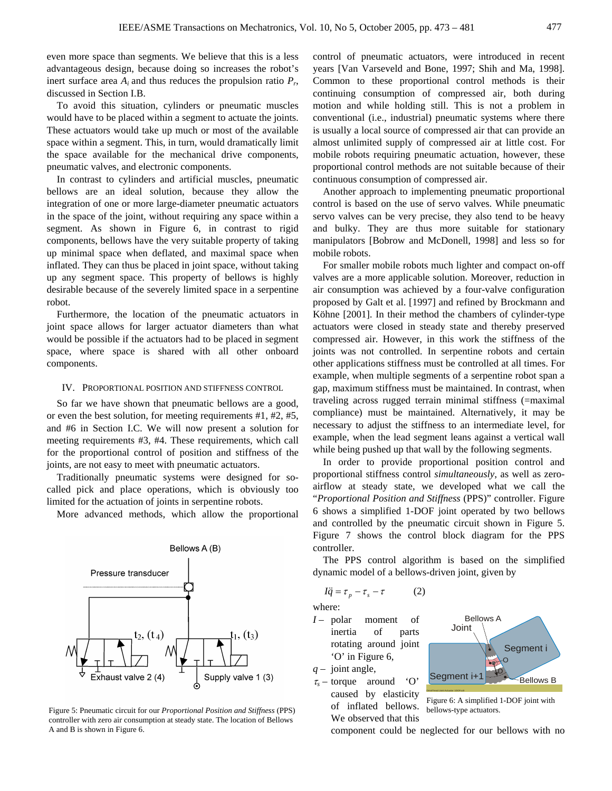even more space than segments. We believe that this is a less advantageous design, because doing so increases the robot's inert surface area  $A_i$  and thus reduces the propulsion ratio  $P_r$ , discussed in Section I.B.

To avoid this situation, cylinders or pneumatic muscles would have to be placed within a segment to actuate the joints. These actuators would take up much or most of the available space within a segment. This, in turn, would dramatically limit the space available for the mechanical drive components, pneumatic valves, and electronic components.

In contrast to cylinders and artificial muscles, pneumatic bellows are an ideal solution, because they allow the integration of one or more large-diameter pneumatic actuators in the space of the joint, without requiring any space within a segment. As shown in Figure 6, in contrast to rigid components, bellows have the very suitable property of taking up minimal space when deflated, and maximal space when inflated. They can thus be placed in joint space, without taking up any segment space. This property of bellows is highly desirable because of the severely limited space in a serpentine robot.

Furthermore, the location of the pneumatic actuators in joint space allows for larger actuator diameters than what would be possible if the actuators had to be placed in segment space, where space is shared with all other onboard components.

#### IV. PROPORTIONAL POSITION AND STIFFNESS CONTROL

So far we have shown that pneumatic bellows are a good, or even the best solution, for meeting requirements #1, #2, #5, and #6 in Section I.C. We will now present a solution for meeting requirements #3, #4. These requirements, which call for the proportional control of position and stiffness of the joints, are not easy to meet with pneumatic actuators.

Traditionally pneumatic systems were designed for socalled pick and place operations, which is obviously too limited for the actuation of joints in serpentine robots.

More advanced methods, which allow the proportional



Figure 5: Pneumatic circuit for our *Proportional Position and Stiffness* (PPS) controller with zero air consumption at steady state. The location of Bellows A and B is shown in Figure 6.

control of pneumatic actuators, were introduced in recent years [Van Varseveld and Bone, 1997; Shih and Ma, 1998]. Common to these proportional control methods is their continuing consumption of compressed air, both during motion and while holding still. This is not a problem in conventional (i.e., industrial) pneumatic systems where there is usually a local source of compressed air that can provide an almost unlimited supply of compressed air at little cost. For mobile robots requiring pneumatic actuation, however, these proportional control methods are not suitable because of their continuous consumption of compressed air.

Another approach to implementing pneumatic proportional control is based on the use of servo valves. While pneumatic servo valves can be very precise, they also tend to be heavy and bulky. They are thus more suitable for stationary manipulators [Bobrow and McDonell, 1998] and less so for mobile robots.

For smaller mobile robots much lighter and compact on-off valves are a more applicable solution. Moreover, reduction in air consumption was achieved by a four-valve configuration proposed by Galt et al. [1997] and refined by Brockmann and Köhne [2001]. In their method the chambers of cylinder-type actuators were closed in steady state and thereby preserved compressed air. However, in this work the stiffness of the joints was not controlled. In serpentine robots and certain other applications stiffness must be controlled at all times. For example, when multiple segments of a serpentine robot span a gap, maximum stiffness must be maintained. In contrast, when traveling across rugged terrain minimal stiffness (=maximal compliance) must be maintained. Alternatively, it may be necessary to adjust the stiffness to an intermediate level, for example, when the lead segment leans against a vertical wall while being pushed up that wall by the following segments.

In order to provide proportional position control and proportional stiffness control *simultaneously*, as well as zeroairflow at steady state, we developed what we call the "*Proportional Position and Stiffness* (PPS)" controller. Figure 6 shows a simplified 1-DOF joint operated by two bellows and controlled by the pneumatic circuit shown in Figure 5. Figure 7 shows the control block diagram for the PPS controller.

The PPS control algorithm is based on the simplified dynamic model of a bellows-driven joint, given by

$$
I\ddot{q} = \tau_p - \tau_s - \tau \tag{2}
$$

where:

*I* – polar moment of inertia of parts rotating around joint 'O' in Figure 6,

*q* – joint angle,

<sup>τ</sup>*<sup>s</sup>* – torque around 'O' caused by elasticity of inflated bellows. We observed that this



Figure 6: A simplified 1-DOF joint with bellows-type actuators.

component could be neglected for our bellows with no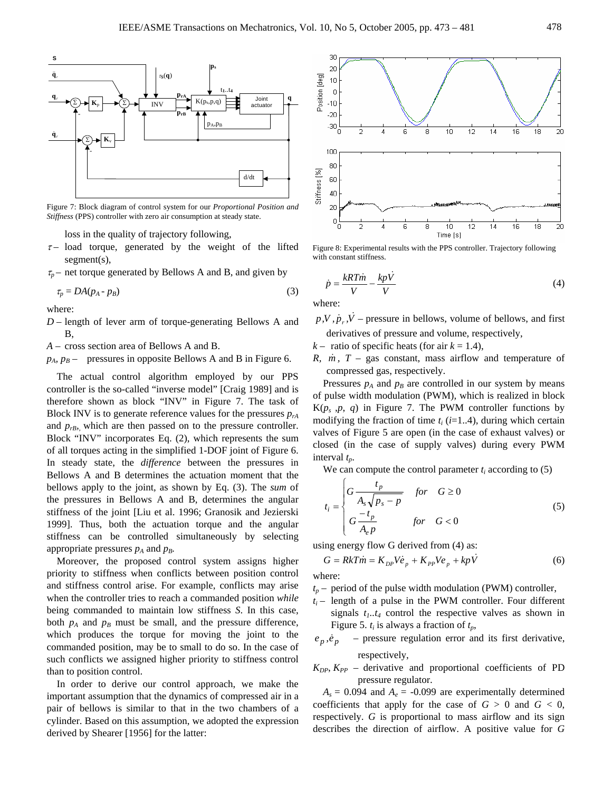

Figure 7: Block diagram of control system for our *Proportional Position and Stiffness* (PPS) controller with zero air consumption at steady state.

loss in the quality of trajectory following,

- $\tau$  load torque, generated by the weight of the lifted segment(s),
- $\tau_p$  net torque generated by Bellows A and B, and given by

$$
\tau_p = DA(p_A - p_B) \tag{3}
$$

where:

- *D*  length of lever arm of torque-generating Bellows A and B,
- *A* cross section area of Bellows A and B.
- $p_A$ ,  $p_B$  pressures in opposite Bellows A and B in Figure 6.

The actual control algorithm employed by our PPS controller is the so-called "inverse model" [Craig 1989] and is therefore shown as block "INV" in Figure 7. The task of Block INV is to generate reference values for the pressures  $p_{rA}$ and  $p_{rB}$ , which are then passed on to the pressure controller. Block "INV" incorporates Eq. (2), which represents the sum of all torques acting in the simplified 1-DOF joint of Figure 6. In steady state, the *difference* between the pressures in Bellows A and B determines the actuation moment that the bellows apply to the joint, as shown by Eq. (3). The *sum* of the pressures in Bellows A and B, determines the angular stiffness of the joint [Liu et al. 1996; Granosik and Jezierski 1999]. Thus, both the actuation torque and the angular stiffness can be controlled simultaneously by selecting appropriate pressures  $p_A$  and  $p_B$ .

Moreover, the proposed control system assigns higher priority to stiffness when conflicts between position control and stiffness control arise. For example, conflicts may arise when the controller tries to reach a commanded position *while*  being commanded to maintain low stiffness *S*. In this case, both  $p_A$  and  $p_B$  must be small, and the pressure difference, which produces the torque for moving the joint to the commanded position, may be to small to do so. In the case of such conflicts we assigned higher priority to stiffness control than to position control.

In order to derive our control approach, we make the important assumption that the dynamics of compressed air in a pair of bellows is similar to that in the two chambers of a cylinder. Based on this assumption, we adopted the expression derived by Shearer [1956] for the latter:



Figure 8: Experimental results with the PPS controller. Trajectory following with constant stiffness.

$$
\dot{p} = \frac{kRT\dot{m}}{V} - \frac{kp\dot{V}}{V}
$$
\n(4)

where:

- $p, V, p, V$  pressure in bellows, volume of bellows, and first derivatives of pressure and volume, respectively,
- $k -$  ratio of specific heats (for air  $k = 1.4$ ),
- *R, m, T* gas constant, mass airflow and temperature of compressed gas, respectively.

Pressures  $p_A$  and  $p_B$  are controlled in our system by means of pulse width modulation (PWM), which is realized in block  $K(p_s, p, q)$  in Figure 7. The PWM controller functions by modifying the fraction of time  $t_i$  ( $i=1..4$ ), during which certain valves of Figure 5 are open (in the case of exhaust valves) or closed (in the case of supply valves) during every PWM interval *tp*.

We can compute the control parameter  $t_i$  according to  $(5)$ 

$$
t_i = \begin{cases} G \frac{t_p}{A_s \sqrt{p_s - p}} & \text{for} \quad G \ge 0 \\ G \frac{-t_p}{A_e p} & \text{for} \quad G < 0 \end{cases} \tag{5}
$$

using energy flow G derived from (4) as:

$$
G = RkT\dot{m} = K_{DP}V\dot{e}_p + K_{PP}Ve_p + kp\dot{V}
$$
\n<sup>(6)</sup>

where:

- $t_p$  period of the pulse width modulation (PWM) controller,
- $t_i$  length of a pulse in the PWM controller. Four different signals  $t_1 \cdot t_4$  control the respective valves as shown in Figure 5.  $t_i$  is always a fraction of  $t_p$ ,
- $e_p, \dot{e}_p$  pressure regulation error and its first derivative, respectively,
- $K_{DP}$ ,  $K_{PP}$  derivative and proportional coefficients of PD pressure regulator.

 $A_s = 0.094$  and  $A_e = -0.099$  are experimentally determined coefficients that apply for the case of  $G > 0$  and  $G < 0$ , respectively. *G* is proportional to mass airflow and its sign describes the direction of airflow. A positive value for *G*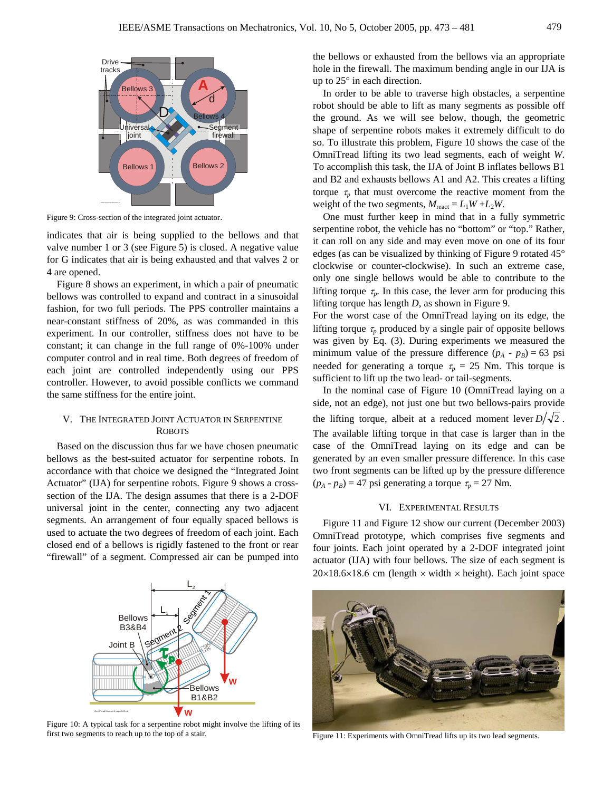

Figure 9: Cross-section of the integrated joint actuator.

indicates that air is being supplied to the bellows and that valve number 1 or 3 (see Figure 5) is closed. A negative value for G indicates that air is being exhausted and that valves 2 or 4 are opened.

Figure 8 shows an experiment, in which a pair of pneumatic bellows was controlled to expand and contract in a sinusoidal fashion, for two full periods. The PPS controller maintains a near-constant stiffness of 20%, as was commanded in this experiment. In our controller, stiffness does not have to be constant; it can change in the full range of 0%-100% under computer control and in real time. Both degrees of freedom of each joint are controlled independently using our PPS controller. However, to avoid possible conflicts we command the same stiffness for the entire joint.

# V. THE INTEGRATED JOINT ACTUATOR IN SERPENTINE **ROBOTS**

Based on the discussion thus far we have chosen pneumatic bellows as the best-suited actuator for serpentine robots. In accordance with that choice we designed the "Integrated Joint Actuator" (IJA) for serpentine robots. Figure 9 shows a crosssection of the IJA. The design assumes that there is a 2-DOF universal joint in the center, connecting any two adjacent segments. An arrangement of four equally spaced bellows is used to actuate the two degrees of freedom of each joint. Each closed end of a bellows is rigidly fastened to the front or rear "firewall" of a segment. Compressed air can be pumped into

the bellows or exhausted from the bellows via an appropriate hole in the firewall. The maximum bending angle in our IJA is up to 25° in each direction.

In order to be able to traverse high obstacles, a serpentine robot should be able to lift as many segments as possible off the ground. As we will see below, though, the geometric shape of serpentine robots makes it extremely difficult to do so. To illustrate this problem, Figure 10 shows the case of the OmniTread lifting its two lead segments, each of weight *W*. To accomplish this task, the IJA of Joint B inflates bellows B1 and B2 and exhausts bellows A1 and A2. This creates a lifting torque  $\tau_p$  that must overcome the reactive moment from the weight of the two segments,  $M_{\text{react}} = L_1 W + L_2 W$ .

One must further keep in mind that in a fully symmetric serpentine robot, the vehicle has no "bottom" or "top." Rather, it can roll on any side and may even move on one of its four edges (as can be visualized by thinking of Figure 9 rotated 45° clockwise or counter-clockwise). In such an extreme case, only one single bellows would be able to contribute to the lifting torque  $\tau_p$ . In this case, the lever arm for producing this lifting torque has length *D*, as shown in Figure 9.

For the worst case of the OmniTread laying on its edge, the lifting torque  $\tau_p$  produced by a single pair of opposite bellows was given by Eq. (3). During experiments we measured the minimum value of the pressure difference  $(p_A - p_B) = 63$  psi needed for generating a torque  $\tau_p = 25$  Nm. This torque is sufficient to lift up the two lead- or tail-segments.

In the nominal case of Figure 10 (OmniTread laying on a side, not an edge), not just one but two bellows-pairs provide the lifting torque, albeit at a reduced moment lever  $D/\sqrt{2}$ . The available lifting torque in that case is larger than in the case of the OmniTread laying on its edge and can be generated by an even smaller pressure difference. In this case two front segments can be lifted up by the pressure difference  $(p_A - p_B) = 47$  psi generating a torque  $\tau_p = 27$  Nm.

# VI. EXPERIMENTAL RESULTS

Figure 11 and Figure 12 show our current (December 2003) OmniTread prototype, which comprises five segments and four joints. Each joint operated by a 2-DOF integrated joint actuator (IJA) with four bellows. The size of each segment is  $20\times18.6\times18.6$  cm (length  $\times$  width  $\times$  height). Each joint space



Figure 10: A typical task for a serpentine robot might involve the lifting of its first two segments to reach up to the top of a stair. Figure 11: Experiments with OmniTread lifts up its two lead segments.

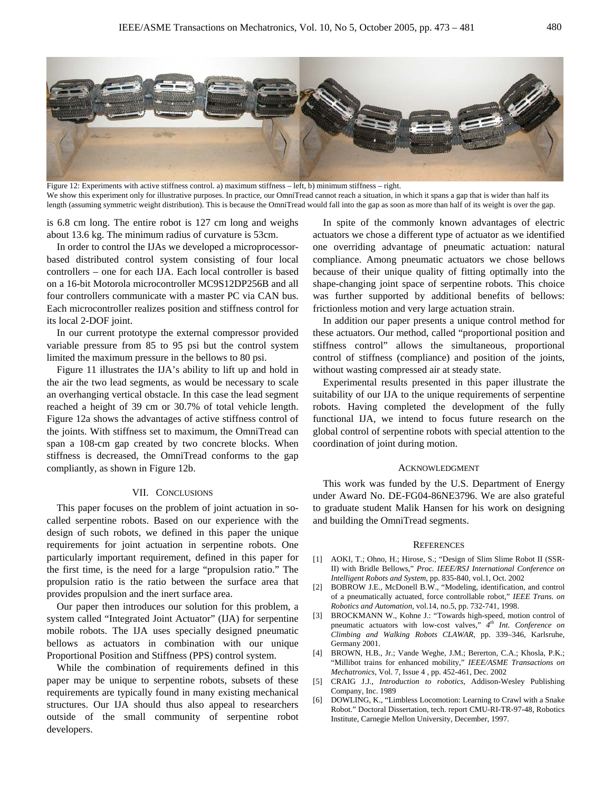

Figure 12: Experiments with active stiffness control. a) maximum stiffness – left, b) minimum stiffness – right. We show this experiment only for illustrative purposes. In practice, our OmniTread cannot reach a situation, in which it spans a gap that is wider than half its length (assuming symmetric weight distribution). This is because the OmniTread would fall into the gap as soon as more than half of its weight is over the gap.

is 6.8 cm long. The entire robot is 127 cm long and weighs about 13.6 kg. The minimum radius of curvature is 53cm.

In order to control the IJAs we developed a microprocessorbased distributed control system consisting of four local controllers – one for each IJA. Each local controller is based on a 16-bit Motorola microcontroller MC9S12DP256B and all four controllers communicate with a master PC via CAN bus. Each microcontroller realizes position and stiffness control for its local 2-DOF joint.

In our current prototype the external compressor provided variable pressure from 85 to 95 psi but the control system limited the maximum pressure in the bellows to 80 psi.

Figure 11 illustrates the IJA's ability to lift up and hold in the air the two lead segments, as would be necessary to scale an overhanging vertical obstacle. In this case the lead segment reached a height of 39 cm or 30.7% of total vehicle length. Figure 12a shows the advantages of active stiffness control of the joints. With stiffness set to maximum, the OmniTread can span a 108-cm gap created by two concrete blocks. When stiffness is decreased, the OmniTread conforms to the gap compliantly, as shown in Figure 12b.

#### VII. CONCLUSIONS

This paper focuses on the problem of joint actuation in socalled serpentine robots. Based on our experience with the design of such robots, we defined in this paper the unique requirements for joint actuation in serpentine robots. One particularly important requirement, defined in this paper for the first time, is the need for a large "propulsion ratio." The propulsion ratio is the ratio between the surface area that provides propulsion and the inert surface area.

Our paper then introduces our solution for this problem, a system called "Integrated Joint Actuator" (IJA) for serpentine mobile robots. The IJA uses specially designed pneumatic bellows as actuators in combination with our unique Proportional Position and Stiffness (PPS) control system.

While the combination of requirements defined in this paper may be unique to serpentine robots, subsets of these requirements are typically found in many existing mechanical structures. Our IJA should thus also appeal to researchers outside of the small community of serpentine robot developers.

In spite of the commonly known advantages of electric actuators we chose a different type of actuator as we identified one overriding advantage of pneumatic actuation: natural compliance. Among pneumatic actuators we chose bellows because of their unique quality of fitting optimally into the shape-changing joint space of serpentine robots. This choice was further supported by additional benefits of bellows: frictionless motion and very large actuation strain.

In addition our paper presents a unique control method for these actuators. Our method, called "proportional position and stiffness control" allows the simultaneous, proportional control of stiffness (compliance) and position of the joints, without wasting compressed air at steady state.

Experimental results presented in this paper illustrate the suitability of our IJA to the unique requirements of serpentine robots. Having completed the development of the fully functional IJA, we intend to focus future research on the global control of serpentine robots with special attention to the coordination of joint during motion.

#### ACKNOWLEDGMENT

This work was funded by the U.S. Department of Energy under Award No. DE-FG04-86NE3796. We are also grateful to graduate student Malik Hansen for his work on designing and building the OmniTread segments.

#### **REFERENCES**

- [1] AOKI, T.; Ohno, H.; Hirose, S.; "Design of Slim Slime Robot II (SSR-II) with Bridle Bellows," *Proc. IEEE/RSJ International Conference on Intelligent Robots and System*, pp. 835-840, vol.1, Oct. 2002
- [2] BOBROW J.E., McDonell B.W., "Modeling, identification, and control of a pneumatically actuated, force controllable robot," *IEEE Trans. on Robotics and Automation*, vol.14, no.5, pp. 732-741, 1998.
- [3] BROCKMANN W., Kohne J.: "Towards high-speed, motion control of pneumatic actuators with low-cost valves," *4th Int. Conference on Climbing and Walking Robots CLAWAR*, pp. 339–346, Karlsruhe, Germany 2001.
- [4] BROWN, H.B., Jr.; Vande Weghe, J.M.; Bererton, C.A.; Khosla, P.K.; "Millibot trains for enhanced mobility," *IEEE/ASME Transactions on Mechatronics*, Vol. 7, Issue 4 , pp. 452-461, Dec. 2002
- [5] CRAIG J.J., *Introduction to robotics*, Addison-Wesley Publishing Company, Inc. 1989
- [6] DOWLING, K., "Limbless Locomotion: Learning to Crawl with a Snake Robot." Doctoral Dissertation, tech. report CMU-RI-TR-97-48, Robotics Institute, Carnegie Mellon University, December, 1997.